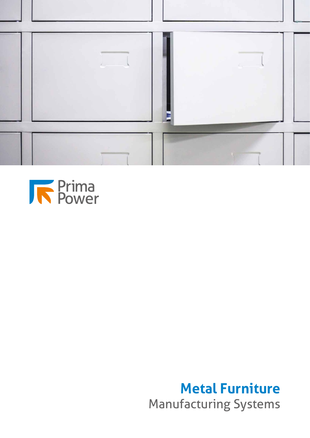



### **Metal Furniture** Manufacturing Systems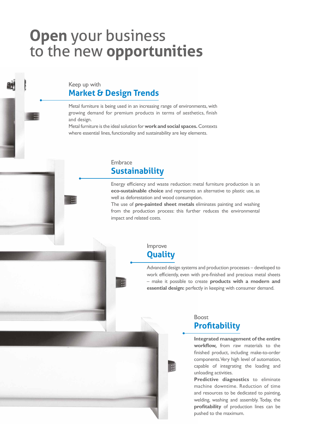## **Open** your business to the new **opportunities**

### Keep up with **Market & Design Trends**

Metal furniture is being used in an increasing range of environments, with growing demand for premium products in terms of aesthetics, finish and design.

Metal furniture is the ideal solution for **work and social spaces.** Contexts where essential lines, functionality and sustainability are key elements.

### Embrace **Sustainability**

Energy efficiency and waste reduction: metal furniture production is an **eco-sustainable choice** and represents an alternative to plastic use, as well as deforestation and wood consumption.

The use of **pre-painted sheet metals** eliminates painting and washing from the production process: this further reduces the environmental impact and related costs.

### Improve **Quality**

Advanced design systems and production processes – developed to work efficiently, even with pre-finished and precious metal sheets – make it possible to create **products with a modern and essential design:** perfectly in keeping with consumer demand.



### Boost **Profitability**

**Integrated management of the entire workflow,** from raw materials to the finished product, including make-to-order components. Very high level of automation, capable of integrating the loading and unloading activities.

**Predictive diagnostics** to eliminate machine downtime. Reduction of time and resources to be dedicated to painting, welding, washing and assembly. Today, the **profitability** of production lines can be pushed to the maximum.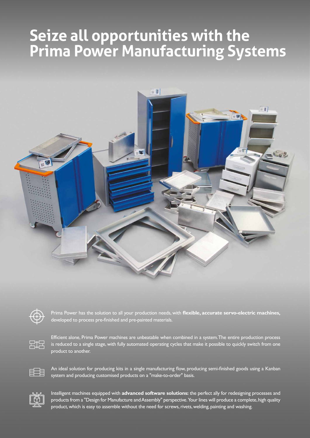# **Seize all opportunities with the Prima Power Manufacturing Systems**





Prima Power has the solution to all your production needs, with **flexible, accurate servo-electric machines,** developed to process pre-finished and pre-painted materials.



Efficient alone, Prima Power machines are unbeatable when combined in a system. The entire production process is reduced to a single stage, with fully automated operating cycles that make it possible to quickly switch from one product to another.



An ideal solution for producing kits in a single manufacturing flow, producing semi-finished goods using a Kanban system and producing customised products on a "make-to-order" basis.



Intelligent machines equipped with **advanced software solutions:** the perfect ally for redesigning processes and products from a "Design for Manufacture and Assembly" perspective. Your lines will produce a complete, high quality product, which is easy to assemble without the need for screws, rivets, welding, painting and washing.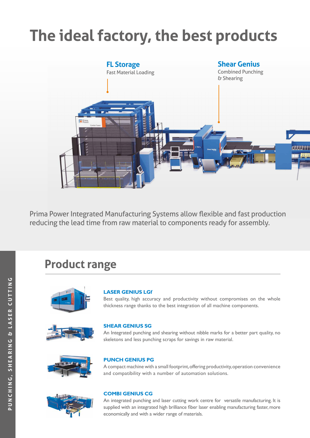# **The ideal factory, the best products**



Prima Power Integrated Manufacturing Systems allow flexible and fast production reducing the lead time from raw material to components ready for assembly.

### **Product range**



#### **LASER GENIUS LGf**

Best quality, high accuracy and productivity without compromises on the whole thickness range thanks to the best integration of all machine components.



#### **SHEAR GENIUS SG**

An Integrated punching and shearing without nibble marks for a better part quality, no skeletons and less punching scraps for savings in raw material.





#### **PUNCH GENIUS PG**

A compact machine with a small footprint, offering productivity, operation convenience and compatibility with a number of automation solutions.

#### **COMBI GENIUS CG**

An integrated punching and laser cutting work centre for versatile manufacturing. It is supplied with an integrated high brilliance fiber laser enabling manufacturing faster, more economically and with a wider range of materials.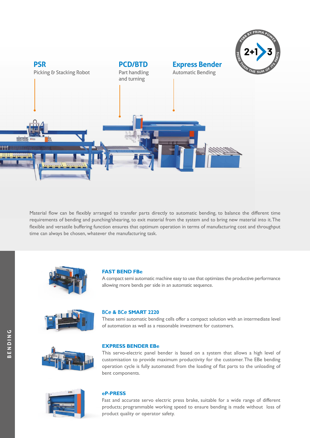

Material flow can be flexibly arranged to transfer parts directly to automatic bending, to balance the different time requirements of bending and punching/shearing, to exit material from the system and to bring new material into it. The flexible and versatile buffering function ensures that optimum operation in terms of manufacturing cost and throughput time can always be chosen, whatever the manufacturing task.



#### **FAST BEND FBe**

A compact semi automatic machine easy to use that optimizes the productive performance allowing more bends per side in an automatic sequence.



#### **BCe & BCe SMART 2220**

These semi automatic bending cells offer a compact solution with an intermediate level of automation as well as a reasonable investment for customers.



#### **EXPRESS BENDER EBe**

This servo-electric panel bender is based on a system that allows a high level of customisation to provide maximum productivity for the customer. The EBe bending operation cycle is fully automated: from the loading of flat parts to the unloading of bent components.



#### **eP-PRESS**

Fast and accurate servo electric press brake, suitable for a wide range of different products; programmable working speed to ensure bending is made without loss of product quality or operator safety.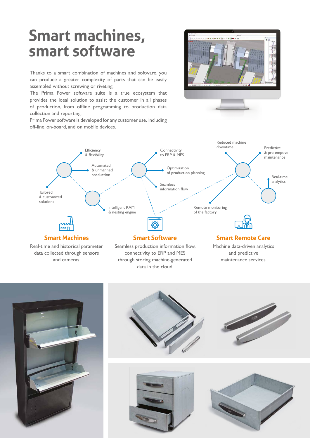## **Smart machines, smart software**

Thanks to a smart combination of machines and software, you can produce a greater complexity of parts that can be easily assembled without screwing or riveting.

The Prima Power software suite is a true ecosystem that provides the ideal solution to assist the customer in all phases of production, from offline programming to production data collection and reporting.

Prima Power software is developed for any customer use, including off-line, on-board, and on mobile devices.





data collected through sensors and cameras.

connectivity to ERP and MES through storing machine-generated data in the cloud.

and predictive maintenance services.







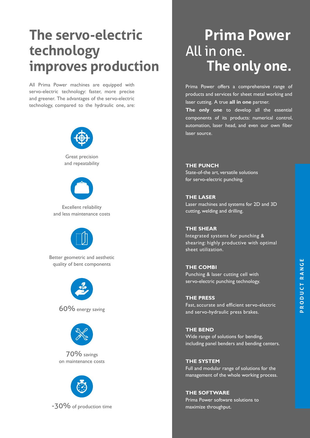## **The servo-electric technology improves production**

All Prima Power machines are equipped with servo-electric technology: faster, more precise and greener. The advantages of the servo-electric technology, compared to the hydraulic one, are:



Better geometric and aesthetic quality of bent components



60% energy saving



70% savings on maintenance costs



-30% of production time

## **Prima Power** All in one. **The only one.**

Prima Power offers a comprehensive range of products and services for sheet metal working and laser cutting. A true **all in one** partner.

**The only one** to develop all the essential components of its products: numerical control, automation, laser head, and even our own fiber laser source.

**THE PUNCH** State-of-the art, versatile solutions for servo-electric punching.

**THE LASER** Laser machines and systems for 2D and 3D cutting, welding and drilling.

#### **THE SHEAR**

Integrated systems for punching & shearing: highly productive with optimal sheet utilization.

**THE COMBI** Punching & laser cutting cell with servo-electric punching technology.

**THE PRESS** Fast, accurate and efficient servo-electric and servo-hydraulic press brakes.

**THE BEND** Wide range of solutions for bending, including panel benders and bending centers.

**THE SYSTEM** Full and modular range of solutions for the management of the whole working process.

**THE SOFTWARE** Prima Power software solutions to maximize throughput.